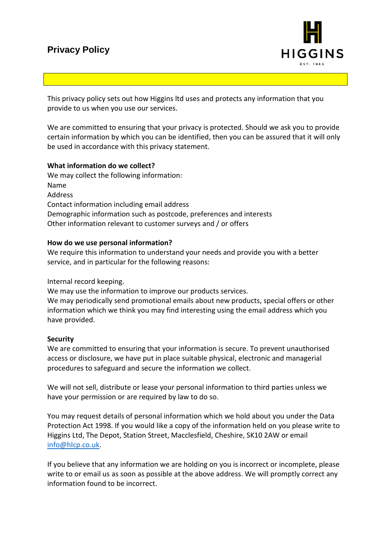## **Privacy Policy**



This privacy policy sets out how Higgins ltd uses and protects any information that you provide to us when you use our services.

We are committed to ensuring that your privacy is protected. Should we ask you to provide certain information by which you can be identified, then you can be assured that it will only be used in accordance with this privacy statement.

### **What information do we collect?**

We may collect the following information: Name Address Contact information including email address Demographic information such as postcode, preferences and interests Other information relevant to customer surveys and / or offers

### **How do we use personal information?**

We require this information to understand your needs and provide you with a better service, and in particular for the following reasons:

Internal record keeping.

We may use the information to improve our products services.

We may periodically send promotional emails about new products, special offers or other information which we think you may find interesting using the email address which you have provided.

### **Security**

We are committed to ensuring that your information is secure. To prevent unauthorised access or disclosure, we have put in place suitable physical, electronic and managerial procedures to safeguard and secure the information we collect.

We will not sell, distribute or lease your personal information to third parties unless we have your permission or are required by law to do so.

You may request details of personal information which we hold about you under the Data Protection Act 1998. If you would like a copy of the information held on you please write to Higgins Ltd, The Depot, Station Street, Macclesfield, Cheshire, SK10 2AW or email [info@hlcp.co.uk.](mailto:info@hlcp.co.uk)

If you believe that any information we are holding on you is incorrect or incomplete, please write to or email us as soon as possible at the above address. We will promptly correct any information found to be incorrect.